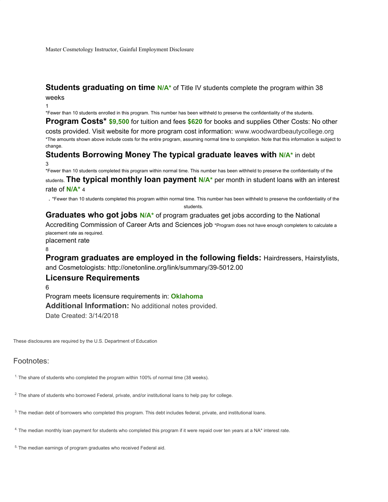Master Cosmetology Instructor, Gainful Employment Disclosure

#### **Students graduating on time N/A<sup>\*</sup>** of Title IV students complete the program within 38 weeks

1

\*Fewer than 10 students enrolled in this program. This number has been withheld to preserve the confidentiality of the students.

**Program Costs\* \$9,500** for tuition and fees **\$620** for books and supplies Other Costs: No other costs provided. Visit website for more program cost information: www.woodwardbeautycollege.org \*The amounts shown above include costs for the entire program, assuming normal time to completion. Note that this information is subject to change.

## **Students Borrowing Money The typical graduate leaves with N/A\*** in debt 3

\*Fewer than 10 students completed this program within normal time. This number has been withheld to preserve the confidentiality of the students. **The typical monthly loan payment N/A\*** per month in student loans with an interest rate of **N/A\*** 4

. \*Fewer than 10 students completed this program within normal time. This number has been withheld to preserve the confidentiality of the

```
students.
```
Graduates who got jobs N/A<sup>\*</sup> of program graduates get jobs according to the National Accrediting Commission of Career Arts and Sciences job \*Program does not have enough completers to calculate a placement rate as required.

placement rate 8

**Program graduates are employed in the following fields: Hairdressers, Hairstylists,** and Cosmetologists: http://onetonline.org/link/summary/39-5012.00

## **Licensure Requirements**

6

Program meets licensure requirements in: **Oklahoma Additional Information:** No additional notes provided. Date Created: 3/14/2018

These disclosures are required by the U.S. Department of Education

# Footnotes:

<sup>1.</sup> The share of students who completed the program within 100% of normal time (38 weeks).

<sup>2.</sup> The share of students who borrowed Federal, private, and/or institutional loans to help pay for college.

3. The median debt of borrowers who completed this program. This debt includes federal, private, and institutional loans.

<sup>4.</sup> The median monthly loan payment for students who completed this program if it were repaid over ten years at a NA\* interest rate.

<sup>5.</sup> The median earnings of program graduates who received Federal aid.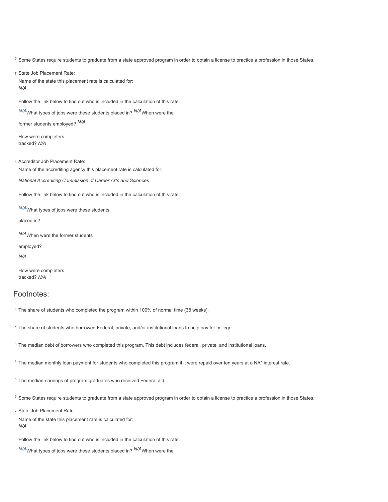<sup>6.</sup> Some States require students to graduate from a state approved program in order to obtain a license to practice a profession in those States.

7. State Job Placement Rate: Name of the state this placement rate is calculated for: *N/A*

Follow the link below to find out who is included in the calculation of this rate:

*N/A*What types of jobs were these students placed in? *N/A*When were the

former students employed? *N/A*

How were completers tracked? *N/A*

8. Accreditor Job Placement Rate:

Name of the accrediting agency this placement rate is calculated for:

*National Accrediting Commission of Career Arts and Sciences*

Follow the link below to find out who is included in the calculation of this rate:

*N/A*What types of jobs were these students

placed in?

*N/A*When were the former students

employed?

*N/A*

How were completers tracked? *N/A*

#### Footnotes:

<sup>1.</sup> The share of students who completed the program within 100% of normal time (38 weeks).

<sup>2.</sup> The share of students who borrowed Federal, private, and/or institutional loans to help pay for college.

3. The median debt of borrowers who completed this program. This debt includes federal, private, and institutional loans.

<sup>4.</sup> The median monthly loan payment for students who completed this program if it were repaid over ten years at a NA\* interest rate.

<sup>5.</sup> The median earnings of program graduates who received Federal aid.

<sup>6.</sup> Some States require students to graduate from a state approved program in order to obtain a license to practice a profession in those States.

7. State Job Placement Rate:

Name of the state this placement rate is calculated for: *N/A*

Follow the link below to find out who is included in the calculation of this rate:

*N/A*What types of jobs were these students placed in? *N/A*When were the